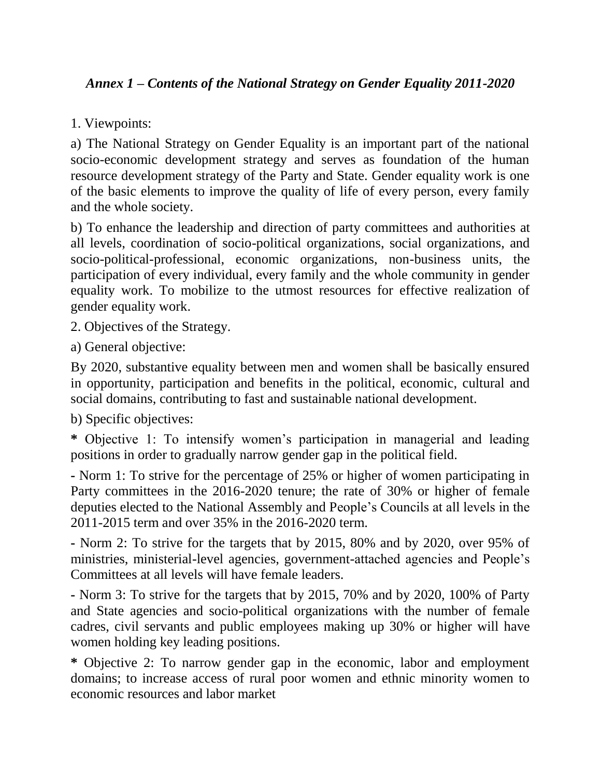## *Annex 1 – Contents of the National Strategy on Gender Equality 2011-2020*

## 1. Viewpoints:

a) The National Strategy on Gender Equality is an important part of the national socio-economic development strategy and serves as foundation of the human resource development strategy of the Party and State. Gender equality work is one of the basic elements to improve the quality of life of every person, every family and the whole society.

b) To enhance the leadership and direction of party committees and authorities at all levels, coordination of socio-political organizations, social organizations, and socio-political-professional, economic organizations, non-business units, the participation of every individual, every family and the whole community in gender equality work. To mobilize to the utmost resources for effective realization of gender equality work.

2. Objectives of the Strategy.

a) General objective:

By 2020, substantive equality between men and women shall be basically ensured in opportunity, participation and benefits in the political, economic, cultural and social domains, contributing to fast and sustainable national development.

b) Specific objectives:

**\*** Objective 1: To intensify women's participation in managerial and leading positions in order to gradually narrow gender gap in the political field.

**-** Norm 1: To strive for the percentage of 25% or higher of women participating in Party committees in the 2016-2020 tenure; the rate of 30% or higher of female deputies elected to the National Assembly and People's Councils at all levels in the 2011-2015 term and over 35% in the 2016-2020 term.

**-** Norm 2: To strive for the targets that by 2015, 80% and by 2020, over 95% of ministries, ministerial-level agencies, government-attached agencies and People's Committees at all levels will have female leaders.

**-** Norm 3: To strive for the targets that by 2015, 70% and by 2020, 100% of Party and State agencies and socio-political organizations with the number of female cadres, civil servants and public employees making up 30% or higher will have women holding key leading positions.

**\*** Objective 2: To narrow gender gap in the economic, labor and employment domains; to increase access of rural poor women and ethnic minority women to economic resources and labor market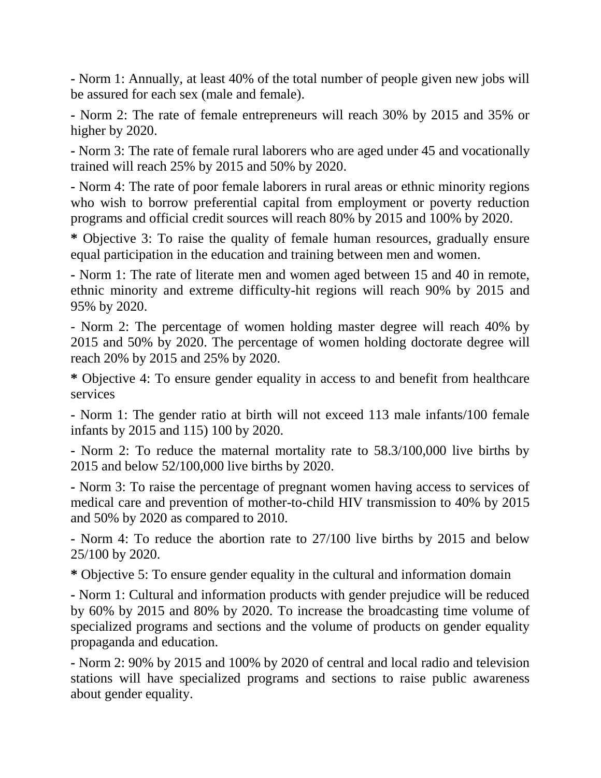**-** Norm 1: Annually, at least 40% of the total number of people given new jobs will be assured for each sex (male and female).

**-** Norm 2: The rate of female entrepreneurs will reach 30% by 2015 and 35% or higher by 2020.

**-** Norm 3: The rate of female rural laborers who are aged under 45 and vocationally trained will reach 25% by 2015 and 50% by 2020.

**-** Norm 4: The rate of poor female laborers in rural areas or ethnic minority regions who wish to borrow preferential capital from employment or poverty reduction programs and official credit sources will reach 80% by 2015 and 100% by 2020.

**\*** Objective 3: To raise the quality of female human resources, gradually ensure equal participation in the education and training between men and women.

**-** Norm 1: The rate of literate men and women aged between 15 and 40 in remote, ethnic minority and extreme difficulty-hit regions will reach 90% by 2015 and 95% by 2020.

- Norm 2: The percentage of women holding master degree will reach 40% by 2015 and 50% by 2020. The percentage of women holding doctorate degree will reach 20% by 2015 and 25% by 2020.

**\*** Objective 4: To ensure gender equality in access to and benefit from healthcare services

**-** Norm 1: The gender ratio at birth will not exceed 113 male infants/100 female infants by 2015 and 115) 100 by 2020.

**-** Norm 2: To reduce the maternal mortality rate to 58.3/100,000 live births by 2015 and below 52/100,000 live births by 2020.

**-** Norm 3: To raise the percentage of pregnant women having access to services of medical care and prevention of mother-to-child HIV transmission to 40% by 2015 and 50% by 2020 as compared to 2010.

**-** Norm 4: To reduce the abortion rate to 27/100 live births by 2015 and below 25/100 by 2020.

**\*** Objective 5: To ensure gender equality in the cultural and information domain

**-** Norm 1: Cultural and information products with gender prejudice will be reduced by 60% by 2015 and 80% by 2020. To increase the broadcasting time volume of specialized programs and sections and the volume of products on gender equality propaganda and education.

**-** Norm 2: 90% by 2015 and 100% by 2020 of central and local radio and television stations will have specialized programs and sections to raise public awareness about gender equality.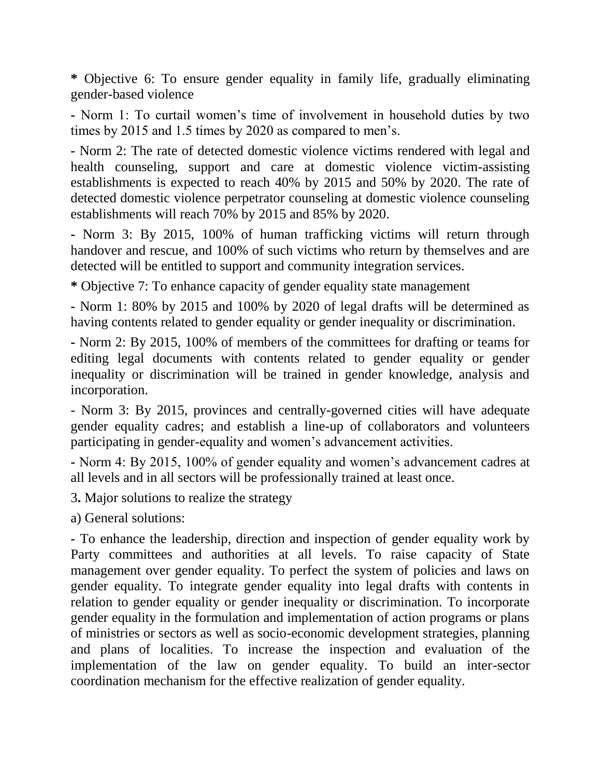**\*** Objective 6: To ensure gender equality in family life, gradually eliminating gender-based violence

**-** Norm 1: To curtail women's time of involvement in household duties by two times by 2015 and 1.5 times by 2020 as compared to men's.

**-** Norm 2: The rate of detected domestic violence victims rendered with legal and health counseling, support and care at domestic violence victim-assisting establishments is expected to reach 40% by 2015 and 50% by 2020. The rate of detected domestic violence perpetrator counseling at domestic violence counseling establishments will reach 70% by 2015 and 85% by 2020.

**-** Norm 3: By 2015, 100% of human trafficking victims will return through handover and rescue, and 100% of such victims who return by themselves and are detected will be entitled to support and community integration services.

**\*** Objective 7: To enhance capacity of gender equality state management

**-** Norm 1: 80% by 2015 and 100% by 2020 of legal drafts will be determined as having contents related to gender equality or gender inequality or discrimination.

**-** Norm 2: By 2015, 100% of members of the committees for drafting or teams for editing legal documents with contents related to gender equality or gender inequality or discrimination will be trained in gender knowledge, analysis and incorporation.

- Norm 3: By 2015, provinces and centrally-governed cities will have adequate gender equality cadres; and establish a line-up of collaborators and volunteers participating in gender-equality and women's advancement activities.

**-** Norm 4: By 2015, 100% of gender equality and women's advancement cadres at all levels and in all sectors will be professionally trained at least once.

3**.** Major solutions to realize the strategy

a) General solutions:

**-** To enhance the leadership, direction and inspection of gender equality work by Party committees and authorities at all levels. To raise capacity of State management over gender equality. To perfect the system of policies and laws on gender equality. To integrate gender equality into legal drafts with contents in relation to gender equality or gender inequality or discrimination. To incorporate gender equality in the formulation and implementation of action programs or plans of ministries or sectors as well as socio-economic development strategies, planning and plans of localities. To increase the inspection and evaluation of the implementation of the law on gender equality. To build an inter-sector coordination mechanism for the effective realization of gender equality.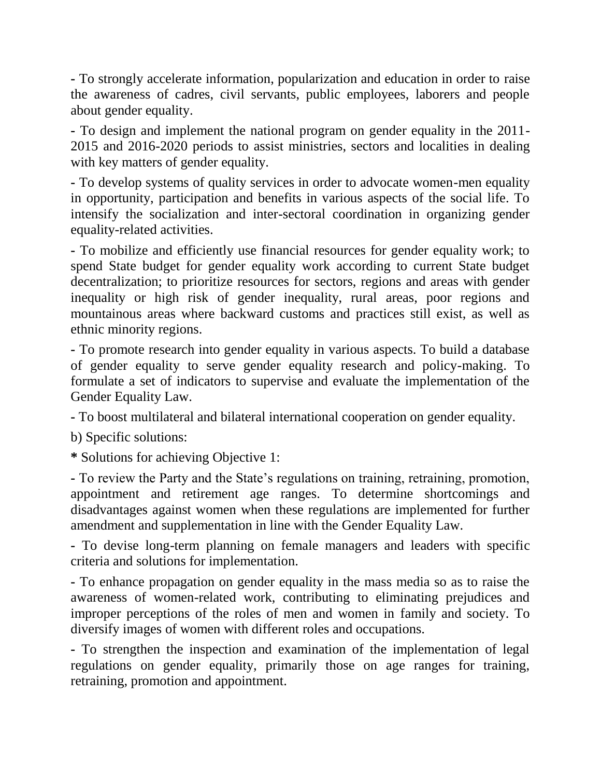**-** To strongly accelerate information, popularization and education in order to raise the awareness of cadres, civil servants, public employees, laborers and people about gender equality.

**-** To design and implement the national program on gender equality in the 2011- 2015 and 2016-2020 periods to assist ministries, sectors and localities in dealing with key matters of gender equality.

**-** To develop systems of quality services in order to advocate women-men equality in opportunity, participation and benefits in various aspects of the social life. To intensify the socialization and inter-sectoral coordination in organizing gender equality-related activities.

**-** To mobilize and efficiently use financial resources for gender equality work; to spend State budget for gender equality work according to current State budget decentralization; to prioritize resources for sectors, regions and areas with gender inequality or high risk of gender inequality, rural areas, poor regions and mountainous areas where backward customs and practices still exist, as well as ethnic minority regions.

**-** To promote research into gender equality in various aspects. To build a database of gender equality to serve gender equality research and policy-making. To formulate a set of indicators to supervise and evaluate the implementation of the Gender Equality Law.

**-** To boost multilateral and bilateral international cooperation on gender equality.

b) Specific solutions:

**\*** Solutions for achieving Objective 1:

**-** To review the Party and the State's regulations on training, retraining, promotion, appointment and retirement age ranges. To determine shortcomings and disadvantages against women when these regulations are implemented for further amendment and supplementation in line with the Gender Equality Law.

**-** To devise long-term planning on female managers and leaders with specific criteria and solutions for implementation.

**-** To enhance propagation on gender equality in the mass media so as to raise the awareness of women-related work, contributing to eliminating prejudices and improper perceptions of the roles of men and women in family and society. To diversify images of women with different roles and occupations.

**-** To strengthen the inspection and examination of the implementation of legal regulations on gender equality, primarily those on age ranges for training, retraining, promotion and appointment.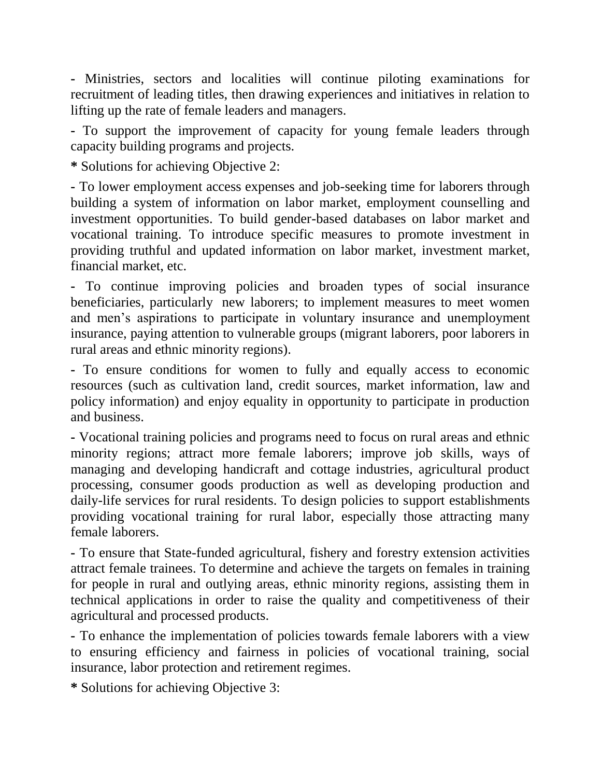**-** Ministries, sectors and localities will continue piloting examinations for recruitment of leading titles, then drawing experiences and initiatives in relation to lifting up the rate of female leaders and managers.

**-** To support the improvement of capacity for young female leaders through capacity building programs and projects.

**\*** Solutions for achieving Objective 2:

**-** To lower employment access expenses and job-seeking time for laborers through building a system of information on labor market, employment counselling and investment opportunities. To build gender-based databases on labor market and vocational training. To introduce specific measures to promote investment in providing truthful and updated information on labor market, investment market, financial market, etc.

**-** To continue improving policies and broaden types of social insurance beneficiaries, particularly new laborers; to implement measures to meet women and men's aspirations to participate in voluntary insurance and unemployment insurance, paying attention to vulnerable groups (migrant laborers, poor laborers in rural areas and ethnic minority regions).

**-** To ensure conditions for women to fully and equally access to economic resources (such as cultivation land, credit sources, market information, law and policy information) and enjoy equality in opportunity to participate in production and business.

**-** Vocational training policies and programs need to focus on rural areas and ethnic minority regions; attract more female laborers; improve job skills, ways of managing and developing handicraft and cottage industries, agricultural product processing, consumer goods production as well as developing production and daily-life services for rural residents. To design policies to support establishments providing vocational training for rural labor, especially those attracting many female laborers.

**-** To ensure that State-funded agricultural, fishery and forestry extension activities attract female trainees. To determine and achieve the targets on females in training for people in rural and outlying areas, ethnic minority regions, assisting them in technical applications in order to raise the quality and competitiveness of their agricultural and processed products.

**-** To enhance the implementation of policies towards female laborers with a view to ensuring efficiency and fairness in policies of vocational training, social insurance, labor protection and retirement regimes.

**\*** Solutions for achieving Objective 3: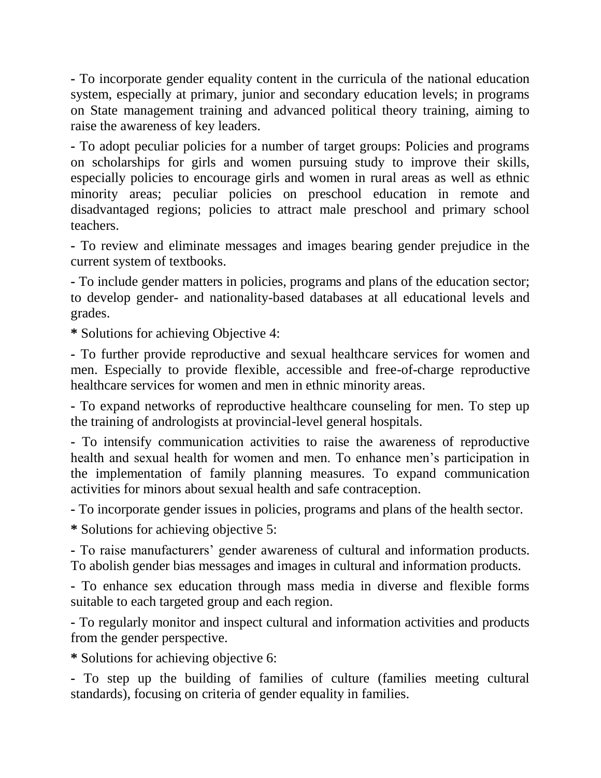**-** To incorporate gender equality content in the curricula of the national education system, especially at primary, junior and secondary education levels; in programs on State management training and advanced political theory training, aiming to raise the awareness of key leaders.

**-** To adopt peculiar policies for a number of target groups: Policies and programs on scholarships for girls and women pursuing study to improve their skills, especially policies to encourage girls and women in rural areas as well as ethnic minority areas; peculiar policies on preschool education in remote and disadvantaged regions; policies to attract male preschool and primary school teachers.

**-** To review and eliminate messages and images bearing gender prejudice in the current system of textbooks.

**-** To include gender matters in policies, programs and plans of the education sector; to develop gender- and nationality-based databases at all educational levels and grades.

**\*** Solutions for achieving Objective 4:

**-** To further provide reproductive and sexual healthcare services for women and men. Especially to provide flexible, accessible and free-of-charge reproductive healthcare services for women and men in ethnic minority areas.

**-** To expand networks of reproductive healthcare counseling for men. To step up the training of andrologists at provincial-level general hospitals.

**-** To intensify communication activities to raise the awareness of reproductive health and sexual health for women and men. To enhance men's participation in the implementation of family planning measures. To expand communication activities for minors about sexual health and safe contraception.

**-** To incorporate gender issues in policies, programs and plans of the health sector.

**\*** Solutions for achieving objective 5:

**-** To raise manufacturers' gender awareness of cultural and information products. To abolish gender bias messages and images in cultural and information products.

**-** To enhance sex education through mass media in diverse and flexible forms suitable to each targeted group and each region.

**-** To regularly monitor and inspect cultural and information activities and products from the gender perspective.

**\*** Solutions for achieving objective 6:

**-** To step up the building of families of culture (families meeting cultural standards), focusing on criteria of gender equality in families.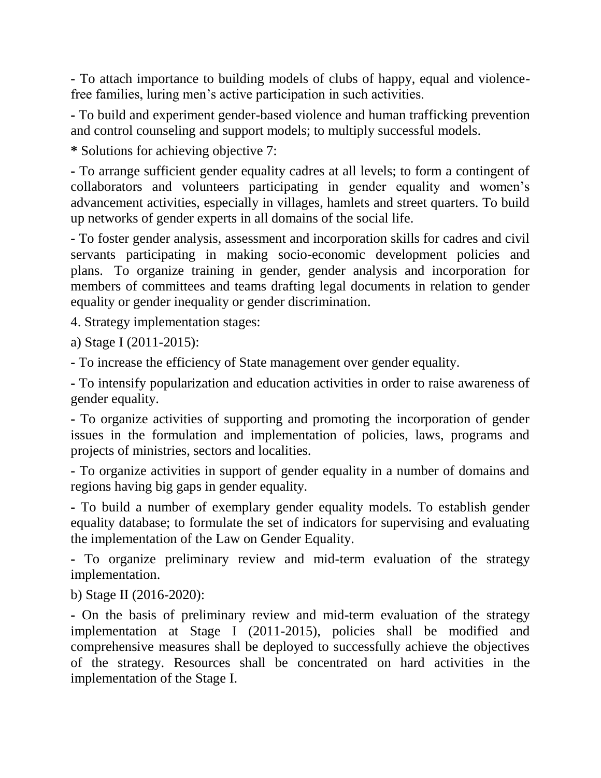**-** To attach importance to building models of clubs of happy, equal and violencefree families, luring men's active participation in such activities.

**-** To build and experiment gender-based violence and human trafficking prevention and control counseling and support models; to multiply successful models.

**\*** Solutions for achieving objective 7:

**-** To arrange sufficient gender equality cadres at all levels; to form a contingent of collaborators and volunteers participating in gender equality and women's advancement activities, especially in villages, hamlets and street quarters. To build up networks of gender experts in all domains of the social life.

**-** To foster gender analysis, assessment and incorporation skills for cadres and civil servants participating in making socio-economic development policies and plans. To organize training in gender, gender analysis and incorporation for members of committees and teams drafting legal documents in relation to gender equality or gender inequality or gender discrimination.

4. Strategy implementation stages:

a) Stage I (2011-2015):

**-** To increase the efficiency of State management over gender equality.

**-** To intensify popularization and education activities in order to raise awareness of gender equality.

**-** To organize activities of supporting and promoting the incorporation of gender issues in the formulation and implementation of policies, laws, programs and projects of ministries, sectors and localities.

**-** To organize activities in support of gender equality in a number of domains and regions having big gaps in gender equality.

**-** To build a number of exemplary gender equality models. To establish gender equality database; to formulate the set of indicators for supervising and evaluating the implementation of the Law on Gender Equality.

**-** To organize preliminary review and mid-term evaluation of the strategy implementation.

b) Stage II (2016-2020):

**-** On the basis of preliminary review and mid-term evaluation of the strategy implementation at Stage I (2011-2015), policies shall be modified and comprehensive measures shall be deployed to successfully achieve the objectives of the strategy. Resources shall be concentrated on hard activities in the implementation of the Stage I.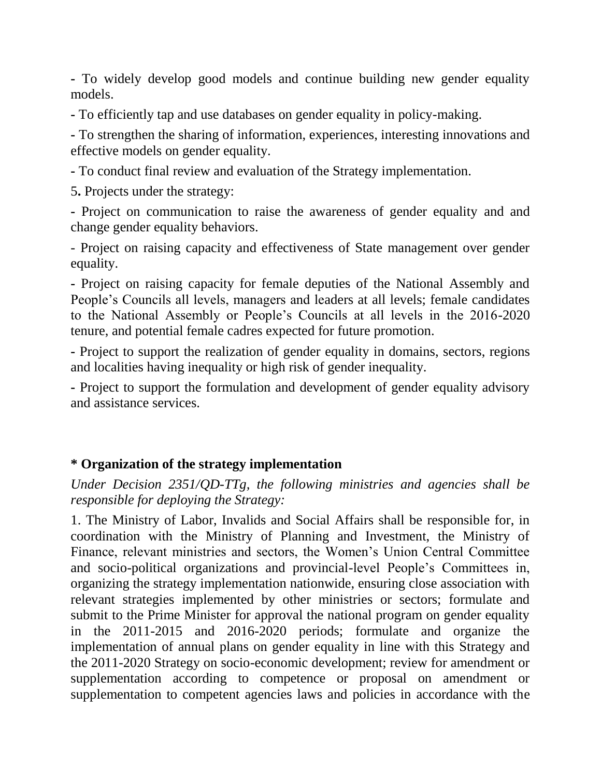**-** To widely develop good models and continue building new gender equality models.

**-** To efficiently tap and use databases on gender equality in policy-making.

**-** To strengthen the sharing of information, experiences, interesting innovations and effective models on gender equality.

**-** To conduct final review and evaluation of the Strategy implementation.

5**.** Projects under the strategy:

**-** Project on communication to raise the awareness of gender equality and and change gender equality behaviors.

- Project on raising capacity and effectiveness of State management over gender equality.

**-** Project on raising capacity for female deputies of the National Assembly and People's Councils all levels, managers and leaders at all levels; female candidates to the National Assembly or People's Councils at all levels in the 2016-2020 tenure, and potential female cadres expected for future promotion.

**-** Project to support the realization of gender equality in domains, sectors, regions and localities having inequality or high risk of gender inequality.

**-** Project to support the formulation and development of gender equality advisory and assistance services.

## **\* Organization of the strategy implementation**

*Under Decision 2351/QD-TTg, the following ministries and agencies shall be responsible for deploying the Strategy:*

1. The Ministry of Labor, Invalids and Social Affairs shall be responsible for, in coordination with the Ministry of Planning and Investment, the Ministry of Finance, relevant ministries and sectors, the Women's Union Central Committee and socio-political organizations and provincial-level People's Committees in, organizing the strategy implementation nationwide, ensuring close association with relevant strategies implemented by other ministries or sectors; formulate and submit to the Prime Minister for approval the national program on gender equality in the 2011-2015 and 2016-2020 periods; formulate and organize the implementation of annual plans on gender equality in line with this Strategy and the 2011-2020 Strategy on socio-economic development; review for amendment or supplementation according to competence or proposal on amendment or supplementation to competent agencies laws and policies in accordance with the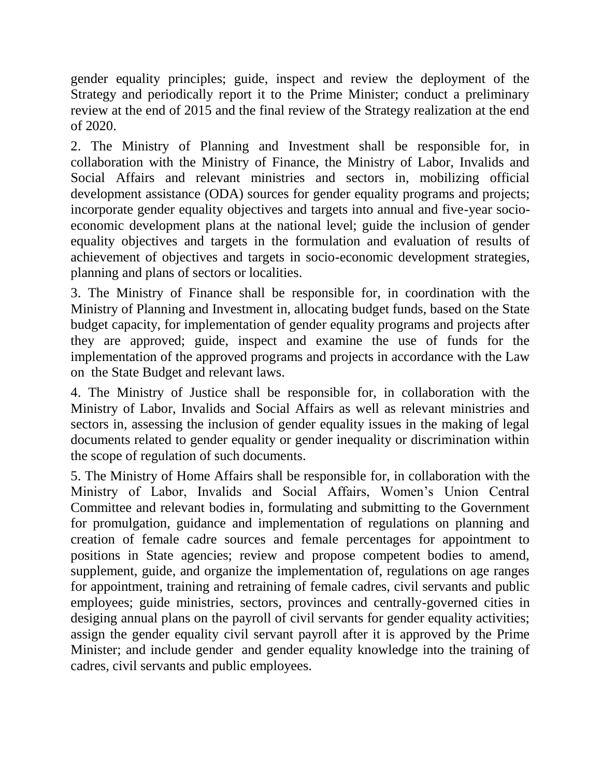gender equality principles; guide, inspect and review the deployment of the Strategy and periodically report it to the Prime Minister; conduct a preliminary review at the end of 2015 and the final review of the Strategy realization at the end of 2020.

2. The Ministry of Planning and Investment shall be responsible for, in collaboration with the Ministry of Finance, the Ministry of Labor, Invalids and Social Affairs and relevant ministries and sectors in, mobilizing official development assistance (ODA) sources for gender equality programs and projects; incorporate gender equality objectives and targets into annual and five-year socioeconomic development plans at the national level; guide the inclusion of gender equality objectives and targets in the formulation and evaluation of results of achievement of objectives and targets in socio-economic development strategies, planning and plans of sectors or localities.

3. The Ministry of Finance shall be responsible for, in coordination with the Ministry of Planning and Investment in, allocating budget funds, based on the State budget capacity, for implementation of gender equality programs and projects after they are approved; guide, inspect and examine the use of funds for the implementation of the approved programs and projects in accordance with the Law on the State Budget and relevant laws.

4. The Ministry of Justice shall be responsible for, in collaboration with the Ministry of Labor, Invalids and Social Affairs as well as relevant ministries and sectors in, assessing the inclusion of gender equality issues in the making of legal documents related to gender equality or gender inequality or discrimination within the scope of regulation of such documents.

5. The Ministry of Home Affairs shall be responsible for, in collaboration with the Ministry of Labor, Invalids and Social Affairs, Women's Union Central Committee and relevant bodies in, formulating and submitting to the Government for promulgation, guidance and implementation of regulations on planning and creation of female cadre sources and female percentages for appointment to positions in State agencies; review and propose competent bodies to amend, supplement, guide, and organize the implementation of, regulations on age ranges for appointment, training and retraining of female cadres, civil servants and public employees; guide ministries, sectors, provinces and centrally-governed cities in desiging annual plans on the payroll of civil servants for gender equality activities; assign the gender equality civil servant payroll after it is approved by the Prime Minister; and include gender and gender equality knowledge into the training of cadres, civil servants and public employees.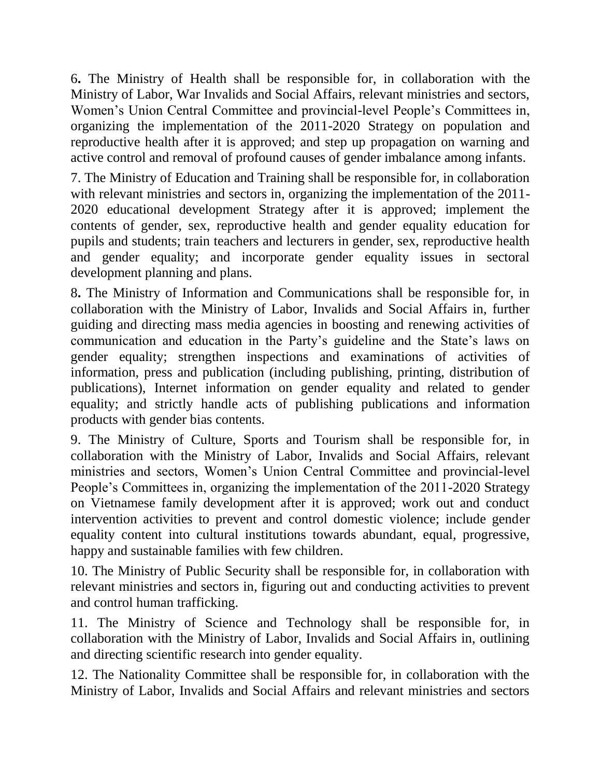6**.** The Ministry of Health shall be responsible for, in collaboration with the Ministry of Labor, War Invalids and Social Affairs, relevant ministries and sectors, Women's Union Central Committee and provincial-level People's Committees in, organizing the implementation of the 2011-2020 Strategy on population and reproductive health after it is approved; and step up propagation on warning and active control and removal of profound causes of gender imbalance among infants.

7. The Ministry of Education and Training shall be responsible for, in collaboration with relevant ministries and sectors in, organizing the implementation of the 2011-2020 educational development Strategy after it is approved; implement the contents of gender, sex, reproductive health and gender equality education for pupils and students; train teachers and lecturers in gender, sex, reproductive health and gender equality; and incorporate gender equality issues in sectoral development planning and plans.

8**.** The Ministry of Information and Communications shall be responsible for, in collaboration with the Ministry of Labor, Invalids and Social Affairs in, further guiding and directing mass media agencies in boosting and renewing activities of communication and education in the Party's guideline and the State's laws on gender equality; strengthen inspections and examinations of activities of information, press and publication (including publishing, printing, distribution of publications), Internet information on gender equality and related to gender equality; and strictly handle acts of publishing publications and information products with gender bias contents.

9. The Ministry of Culture, Sports and Tourism shall be responsible for, in collaboration with the Ministry of Labor, Invalids and Social Affairs, relevant ministries and sectors, Women's Union Central Committee and provincial-level People's Committees in, organizing the implementation of the 2011-2020 Strategy on Vietnamese family development after it is approved; work out and conduct intervention activities to prevent and control domestic violence; include gender equality content into cultural institutions towards abundant, equal, progressive, happy and sustainable families with few children.

10. The Ministry of Public Security shall be responsible for, in collaboration with relevant ministries and sectors in, figuring out and conducting activities to prevent and control human trafficking.

11. The Ministry of Science and Technology shall be responsible for, in collaboration with the Ministry of Labor, Invalids and Social Affairs in, outlining and directing scientific research into gender equality.

12. The Nationality Committee shall be responsible for, in collaboration with the Ministry of Labor, Invalids and Social Affairs and relevant ministries and sectors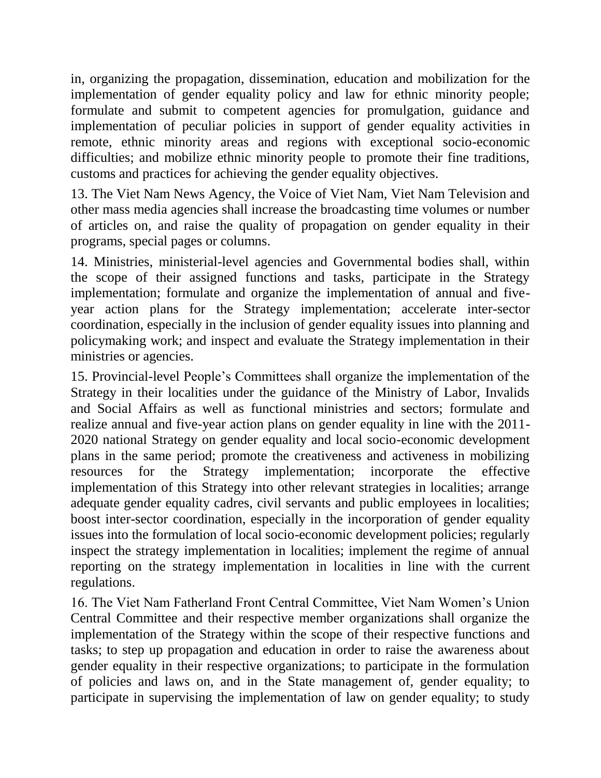in, organizing the propagation, dissemination, education and mobilization for the implementation of gender equality policy and law for ethnic minority people; formulate and submit to competent agencies for promulgation, guidance and implementation of peculiar policies in support of gender equality activities in remote, ethnic minority areas and regions with exceptional socio-economic difficulties; and mobilize ethnic minority people to promote their fine traditions, customs and practices for achieving the gender equality objectives.

13. The Viet Nam News Agency, the Voice of Viet Nam, Viet Nam Television and other mass media agencies shall increase the broadcasting time volumes or number of articles on, and raise the quality of propagation on gender equality in their programs, special pages or columns.

14. Ministries, ministerial-level agencies and Governmental bodies shall, within the scope of their assigned functions and tasks, participate in the Strategy implementation; formulate and organize the implementation of annual and fiveyear action plans for the Strategy implementation; accelerate inter-sector coordination, especially in the inclusion of gender equality issues into planning and policymaking work; and inspect and evaluate the Strategy implementation in their ministries or agencies.

15. Provincial-level People's Committees shall organize the implementation of the Strategy in their localities under the guidance of the Ministry of Labor, Invalids and Social Affairs as well as functional ministries and sectors; formulate and realize annual and five-year action plans on gender equality in line with the 2011- 2020 national Strategy on gender equality and local socio-economic development plans in the same period; promote the creativeness and activeness in mobilizing resources for the Strategy implementation; incorporate the effective implementation of this Strategy into other relevant strategies in localities; arrange adequate gender equality cadres, civil servants and public employees in localities; boost inter-sector coordination, especially in the incorporation of gender equality issues into the formulation of local socio-economic development policies; regularly inspect the strategy implementation in localities; implement the regime of annual reporting on the strategy implementation in localities in line with the current regulations.

16. The Viet Nam Fatherland Front Central Committee, Viet Nam Women's Union Central Committee and their respective member organizations shall organize the implementation of the Strategy within the scope of their respective functions and tasks; to step up propagation and education in order to raise the awareness about gender equality in their respective organizations; to participate in the formulation of policies and laws on, and in the State management of, gender equality; to participate in supervising the implementation of law on gender equality; to study